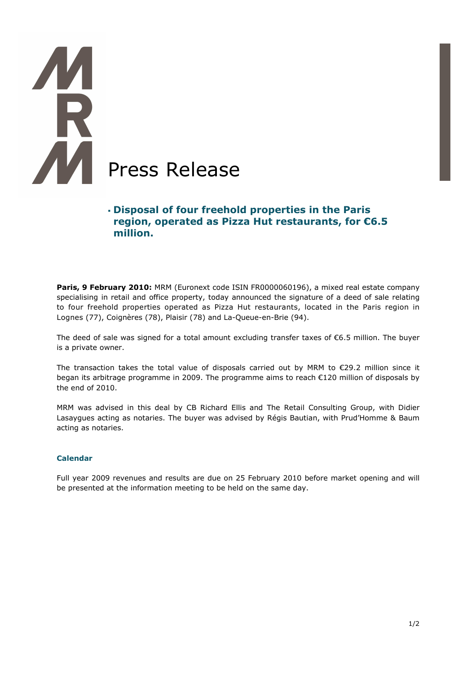# í **Press Release**

# **Disposal of four freehold properties in the Paris region, operated as Pizza Hut restaurants, for €6.5 million.**

**Paris, 9 February 2010:** MRM (Euronext code ISIN FR0000060196), a mixed real estate company specialising in retail and office property, today announced the signature of a deed of sale relating to four freehold properties operated as Pizza Hut restaurants, located in the Paris region in Lognes (77), Coignères (78), Plaisir (78) and La-Queue-en-Brie (94).

The deed of sale was signed for a total amount excluding transfer taxes of €6.5 million. The buyer is a private owner.

The transaction takes the total value of disposals carried out by MRM to €29.2 million since it began its arbitrage programme in 2009. The programme aims to reach €120 million of disposals by the end of 2010.

MRM was advised in this deal by CB Richard Ellis and The Retail Consulting Group, with Didier Lasaygues acting as notaries. The buyer was advised by Régis Bautian, with Prud'Homme & Baum acting as notaries.

### **Calendar**

Full year 2009 revenues and results are due on 25 February 2010 before market opening and will be presented at the information meeting to be held on the same day.